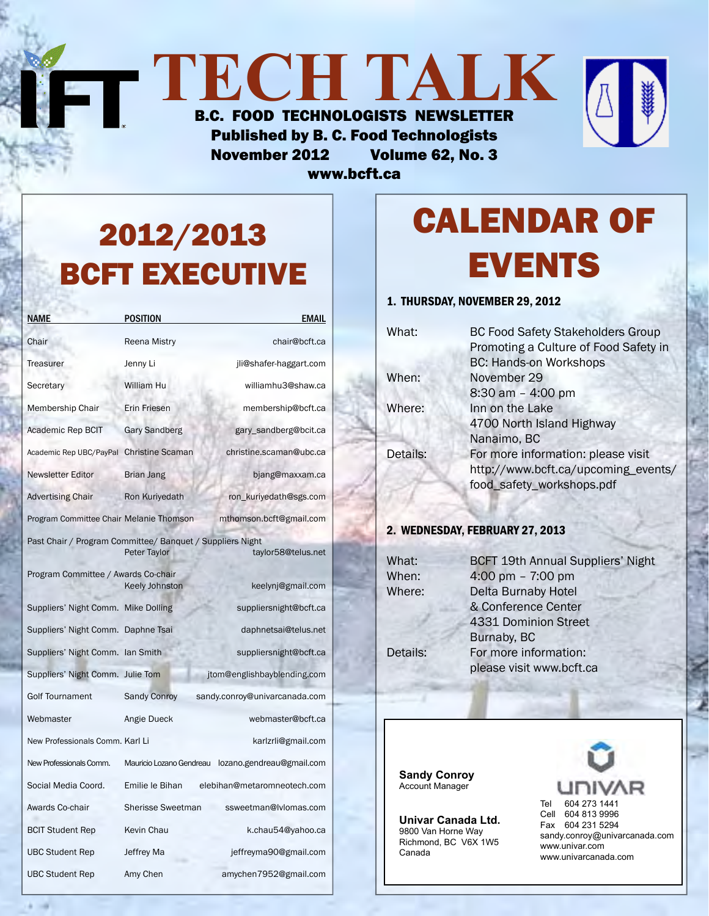| $\blacksquare$<br>IJI JI AVUJ                |  |
|----------------------------------------------|--|
| <b>B.C. FOOD TECHNOLOGISTS NEWSLETTER</b>    |  |
| <b>Published by B. C. Food Technologists</b> |  |
| Volume 62, No. 3<br><b>November 2012</b>     |  |

www.bcft.ca

# 2012/2013 BCFT EXECUTIVE

| NAME                                                      | <b>POSITION</b>          | <b>EMAIL</b>                  |
|-----------------------------------------------------------|--------------------------|-------------------------------|
| Chair                                                     | Reena Mistry             | chair@bcft.ca                 |
| <b>Treasurer</b>                                          | Jenny Li                 | jli@shafer-haggart.com        |
| Secretary                                                 | William Hu               | williamhu3@shaw.ca            |
| Membership Chair                                          | Erin Friesen             | membership@bcft.ca            |
| Academic Rep BCIT                                         | <b>Gary Sandberg</b>     | gary_sandberg@bcit.ca         |
| Academic Rep UBC/PayPal                                   | <b>Christine Scaman</b>  | christine.scaman@ubc.ca       |
| <b>Newsletter Editor</b>                                  | Brian Jang               | bjang@maxxam.ca               |
| <b>Advertising Chair</b>                                  | Ron Kuriyedath           | ron_kuriyedath@sgs.com        |
| Program Committee Chair Melanie Thomson                   |                          | mthomson.bcft@gmail.com       |
| Past Chair / Program Committee/ Banquet / Suppliers Night |                          |                               |
|                                                           | Peter Taylor             | taylor58@telus.net            |
| Program Committee / Awards Co-chair                       | Keely Johnston           | keelynj@gmail.com             |
| Suppliers' Night Comm. Mike Dolling                       |                          | suppliersnight@bcft.ca        |
| Suppliers' Night Comm.                                    | Daphne Tsai              | daphnetsai@telus.net          |
| Suppliers' Night Comm. Ian Smith                          |                          | suppliersnight@bcft.ca        |
| Suppliers' Night Comm. Julie Tom                          |                          | jtom@englishbayblending.com   |
| <b>Golf Tournament</b>                                    | <b>Sandy Conroy</b>      | sandy.conroy@univarcanada.com |
| Webmaster                                                 | Angie Dueck              | webmaster@bcft.ca             |
| New Professionals Comm. Karl Li                           |                          | karlzrli@gmail.com            |
| New Professionals Comm.                                   | Mauricio Lozano Gendreau | lozano.gendreau@gmail.com     |
| Social Media Coord.                                       | Emilie le Bihan          | elebihan@metaromneotech.com   |
| Awards Co-chair                                           | <b>Sherisse Sweetman</b> | ssweetman@lvlomas.com         |
| <b>BCIT Student Rep</b>                                   | Kevin Chau               | k.chau54@yahoo.ca             |
| <b>UBC Student Rep</b>                                    | Jeffrey Ma               | jeffreyma90@gmail.com         |
| <b>UBC Student Rep</b>                                    | Amy Chen                 | amychen7952@gmail.com         |

# Calendar Of **EVENTS**

## 1. Thursday, November 29, 2012

| What:    | <b>BC Food Safety Stakeholders Group</b> |
|----------|------------------------------------------|
|          | Promoting a Culture of Food Safety in    |
|          | <b>BC: Hands-on Workshops</b>            |
| When:    | November 29                              |
|          | $8:30$ am $-$ 4:00 pm                    |
| Where:   | Inn on the Lake                          |
|          | 4700 North Island Highway                |
|          | Nanaimo, BC                              |
| Details: | For more information: please visit       |
|          | http://www.bcft.ca/upcoming_events/      |
|          | food_safety_workshops.pdf                |

## 2. Wednesday, February 27, 2013

What: **BCFT 19th Annual Suppliers' Night** When:  $4:00 \text{ pm} - 7:00 \text{ pm}$ Where: Delta Burnaby Hotel & Conference Center 4331 Dominion Street Burnaby, BC Details: For more information: please visit www.bcft.ca

**Sandy Conroy** Account Manager

**Univar Canada Ltd.** 9800 Van Horne Way Richmond, BC V6X 1W5 Canada

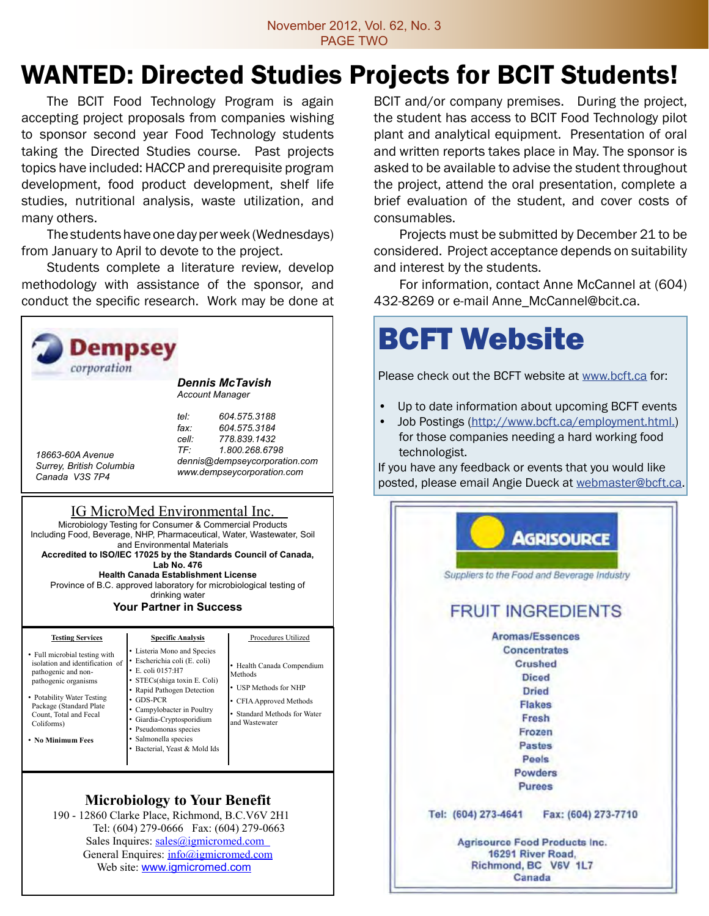# WANTED: Directed Studies Projects for BCIT Students!

 The BCIT Food Technology Program is again accepting project proposals from companies wishing to sponsor second year Food Technology students taking the Directed Studies course. Past projects topics have included: HACCP and prerequisite program development, food product development, shelf life studies, nutritional analysis, waste utilization, and many others.

The students have one day per week (Wednesdays) from January to April to devote to the project.

Students complete a literature review, develop methodology with assistance of the sponsor, and conduct the specific research. Work may be done at



General Enquires: info@igmicromed.com Web site: www.igmicromed.com

BCIT and/or company premises. During the project, the student has access to BCIT Food Technology pilot plant and analytical equipment. Presentation of oral and written reports takes place in May. The sponsor is asked to be available to advise the student throughout the project, attend the oral presentation, complete a brief evaluation of the student, and cover costs of consumables.

Projects must be submitted by December 21 to be considered. Project acceptance depends on suitability and interest by the students.

For information, contact Anne McCannel at (604) 432-8269 or e-mail Anne\_McCannel@bcit.ca.

# BCFT Website

Please check out the BCFT website at www.bcft.ca for:

- Up to date information about upcoming BCFT events
- Job Postings (http://www.bcft.ca/employment.html.) for those companies needing a hard working food technologist.

If you have any feedback or events that you would like posted, please email Angie Dueck at webmaster@bcft.ca.

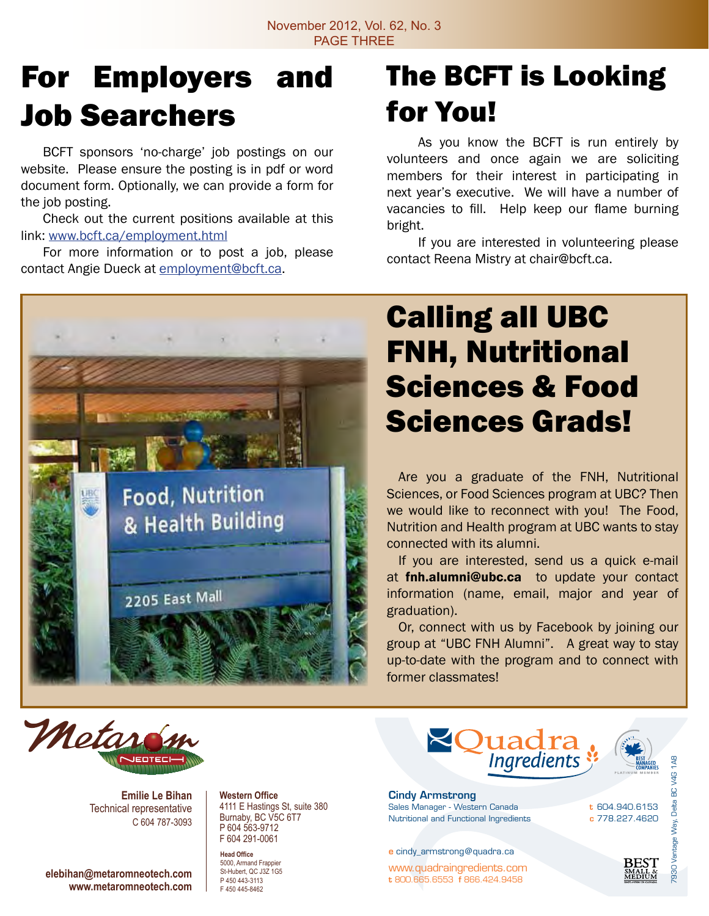# For Employers and Job Searchers

 BCFT sponsors 'no-charge' job postings on our website. Please ensure the posting is in pdf or word document form. Optionally, we can provide a form for the job posting.

 Check out the current positions available at this link: www.bcft.ca/employment.html

 For more information or to post a job, please contact Angie Dueck at employment@bcft.ca.

**Food, Nutrition** 

2205 East Mall

& Health Building

# The BCFT is Looking for You!

 As you know the BCFT is run entirely by volunteers and once again we are soliciting members for their interest in participating in next year's executive. We will have a number of vacancies to fill. Help keep our flame burning bright.

 If you are interested in volunteering please contact Reena Mistry at chair@bcft.ca.

# Calling all UBC FNH, Nutritional Sciences & Food Sciences Grads!

 Are you a graduate of the FNH, Nutritional Sciences, or Food Sciences program at UBC? Then we would like to reconnect with you! The Food, Nutrition and Health program at UBC wants to stay connected with its alumni.

If you are interested, send us a quick e-mail at **fin.alumni@ubc.ca** to update your contact information (name, email, major and year of graduation).

Or, connect with us by Facebook by joining our group at "UBC FNH Alumni". A great way to stay up-to-date with the program and to connect with former classmates!



**Emilie Le Bihan** Technical representative C 604 787-3093

**elebihan@metaromneotech.com www.metaromneotech.com** **Western Office** 4111 E Hastings St, suite 380 Burnaby, BC V5C 6T7 P 604 563-9712 F 604 291-0061

**Head Office** 5000, Armand Frappier St-Hubert, QC J3Z 1G5 P 450 443-3113 F 450 445-8462



t 604.940.6153 c 778.227.4620

**REST** 

7930 Vantage Way, Delta BC V4G 1A8

 $\frac{4}{9}$  $\frac{C}{D}$ Delta

Cindy Armstrong Sales Manager - Western Canada Nutritional and Functional Ingredients

e cindy\_armstrong@quadra.ca

www.quadraingredients.com t 800.665.6553 f 866.424.9458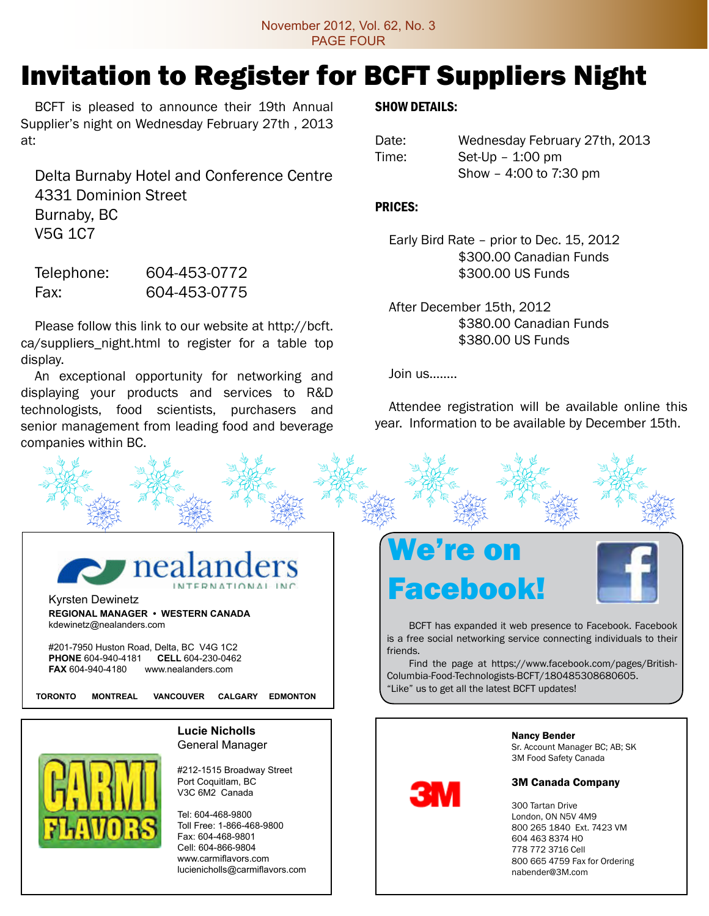# Invitation to Register for BCFT Suppliers Night

 BCFT is pleased to announce their 19th Annual Supplier's night on Wednesday February 27th , 2013 at:

 Delta Burnaby Hotel and Conference Centre 4331 Dominion Street Burnaby, BC V5G 1C7

| Telephone: | 604-453-0772 |
|------------|--------------|
| Fax:       | 604-453-0775 |

 Please follow this link to our website at http://bcft. ca/suppliers\_night.html to register for a table top display.

 An exceptional opportunity for networking and displaying your products and services to R&D technologists, food scientists, purchasers and senior management from leading food and beverage companies within BC.

### SHOW DETAILS:

| Date: | Wednesday February 27th, 2013 |
|-------|-------------------------------|
| Time: | $Set$ -Up $-$ 1:00 pm         |
|       | Show - 4:00 to 7:30 pm        |

### Prices:

 Early Bird Rate – prior to Dec. 15, 2012 \$300.00 Canadian Funds \$300.00 US Funds

 After December 15th, 2012 \$380.00 Canadian Funds \$380.00 US Funds

 Join us……..

 Attendee registration will be available online this year. Information to be available by December 15th.





Kyrsten Dewinetz **REGIONAL MANAGER • WESTERN CANADA** kdewinetz@nealanders.com

#201-7950 Huston Road, Delta, BC V4G 1C2 **PHONE** 604-940-4181 **CELL** 604-230-0462 **FAX** 604-940-4180 www.nealanders.com

**TORONTO MONTREAL VANCOUVER CALGARY EDMONTON**

**Lucie Nicholls** General Manager

#212-1515 Broadway Street Port Coquitlam, BC

V3C 6M2 Canada

Tel: 604-468-9800 Toll Free: 1-866-468-9800 Fax: 604-468-9801 Cell: 604-866-9804 www.carmiflavors.com lucienicholls@carmiflavors.com

# We're on Facebook!

шv



 BCFT has expanded it web presence to Facebook. Facebook is a free social networking service connecting individuals to their friends.

Find the page at https://www.facebook.com/pages/British-Columbia-Food-Technologists-BCFT/180485308680605. "Like" us to get all the latest BCFT updates!



Sr. Account Manager BC; AB; SK 3M Food Safety Canada

#### 3M Canada Company

 Tartan Drive London, ON N5V 4M9 265 1840 Ext. 7423 VM 463 8374 HO 772 3716 Cell 665 4759 Fax for Ordering nabender@3M.com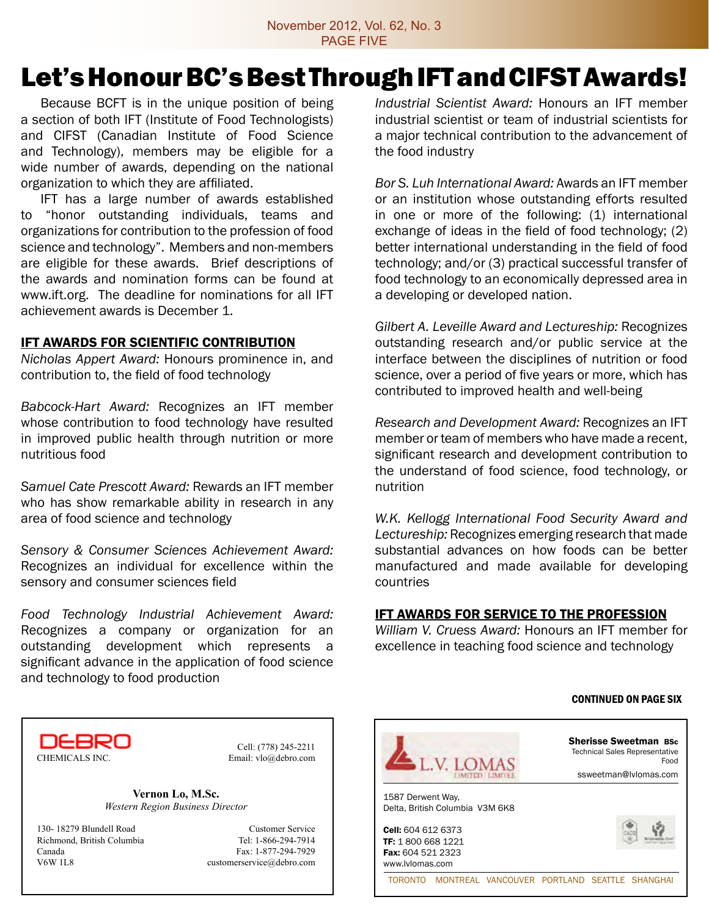# Let's Honour BC's Best Through IFT and CIFST Awards!

 Because BCFT is in the unique position of being a section of both IFT (Institute of Food Technologists) and CIFST (Canadian Institute of Food Science and Technology), members may be eligible for a wide number of awards, depending on the national organization to which they are affiliated.

 IFT has a large number of awards established to "honor outstanding individuals, teams and organizations for contribution to the profession of food science and technology". Members and non-members are eligible for these awards. Brief descriptions of the awards and nomination forms can be found at www.ift.org. The deadline for nominations for all IFT achievement awards is December 1.

### **IFT AWARDS FOR SCIENTIFIC CONTRIBUTION**

*Nicholas Appert Award:* Honours prominence in, and contribution to, the field of food technology

*Babcock-Hart Award:* Recognizes an IFT member whose contribution to food technology have resulted in improved public health through nutrition or more nutritious food

*Samuel Cate Prescott Award:* Rewards an IFT member who has show remarkable ability in research in any area of food science and technology

*Sensory & Consumer Sciences Achievement Award:*  Recognizes an individual for excellence within the sensory and consumer sciences field

*Food Technology Industrial Achievement Award:*  Recognizes a company or organization for an outstanding development which represents a significant advance in the application of food science and technology to food production

*Industrial Scientist Award:* Honours an IFT member industrial scientist or team of industrial scientists for a major technical contribution to the advancement of the food industry

*Bor S. Luh International Award:* Awards an IFT member or an institution whose outstanding efforts resulted in one or more of the following: (1) international exchange of ideas in the field of food technology; (2) better international understanding in the field of food technology; and/or (3) practical successful transfer of food technology to an economically depressed area in a developing or developed nation.

*Gilbert A. Leveille Award and Lectureship:* Recognizes outstanding research and/or public service at the interface between the disciplines of nutrition or food science, over a period of five years or more, which has contributed to improved health and well-being

*Research and Development Award:* Recognizes an IFT member or team of members who have made a recent, significant research and development contribution to the understand of food science, food technology, or nutrition

*W.K. Kellogg International Food Security Award and Lectureship:* Recognizes emerging research that made substantial advances on how foods can be better manufactured and made available for developing countries

### IFT AWARDS FOR SERVICE TO THE PROFESSION

*William V. Cruess Award:* Honours an IFT member for excellence in teaching food science and technology

#### continued on page six



Cell: (778) 245-2211

**Vernon Lo, M.Sc.** *Western Region Business Director*

130- 18279 Blundell Road Customer Service Richmond, British Columbia Tel: 1-866-294-7914 Canada Fax: 1-877-294-7929 V6W 1L8 customerservice@debro.com

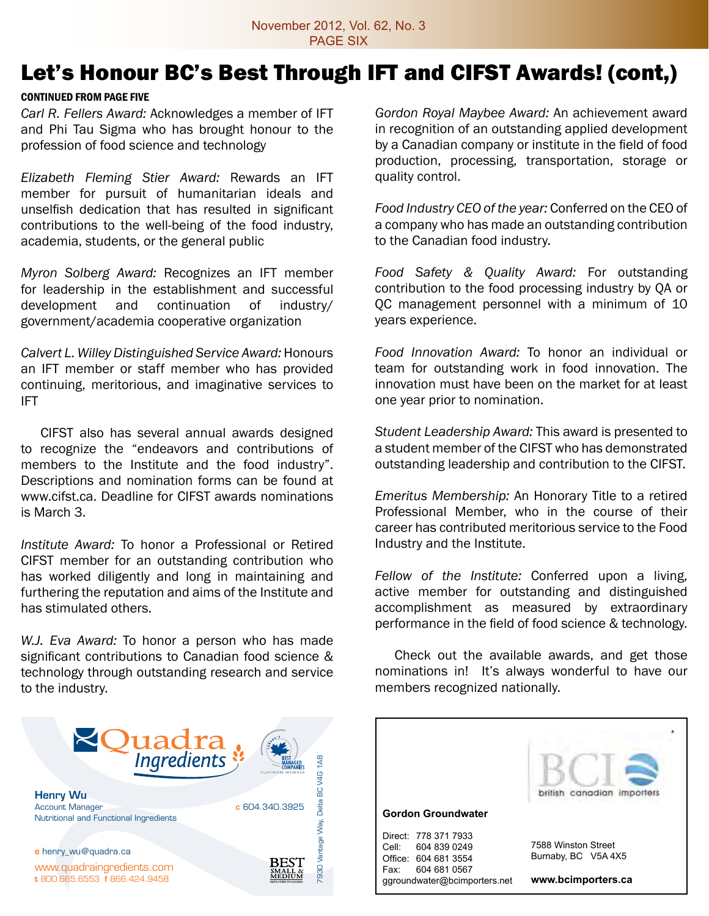# Let's Honour BC's Best Through IFT and CIFST Awards! (cont,)

#### continued from page five

*Carl R. Fellers Award:* Acknowledges a member of IFT and Phi Tau Sigma who has brought honour to the profession of food science and technology

*Elizabeth Fleming Stier Award:* Rewards an IFT member for pursuit of humanitarian ideals and unselfish dedication that has resulted in significant contributions to the well-being of the food industry, academia, students, or the general public

*Myron Solberg Award:* Recognizes an IFT member for leadership in the establishment and successful development and continuation of industry/ government/academia cooperative organization

*Calvert L. Willey Distinguished Service Award:* Honours an IFT member or staff member who has provided continuing, meritorious, and imaginative services to IFT

CIFST also has several annual awards designed to recognize the "endeavors and contributions of members to the Institute and the food industry". Descriptions and nomination forms can be found at www.cifst.ca. Deadline for CIFST awards nominations is March 3.

*Institute Award:* To honor a Professional or Retired CIFST member for an outstanding contribution who has worked diligently and long in maintaining and furthering the reputation and aims of the Institute and has stimulated others.

*W.J. Eva Award:* To honor a person who has made significant contributions to Canadian food science & technology through outstanding research and service to the industry.



*Gordon Royal Maybee Award:* An achievement award in recognition of an outstanding applied development by a Canadian company or institute in the field of food production, processing, transportation, storage or quality control.

*Food Industry CEO of the year:* Conferred on the CEO of a company who has made an outstanding contribution to the Canadian food industry.

*Food Safety & Quality Award:* For outstanding contribution to the food processing industry by QA or QC management personnel with a minimum of 10 years experience.

*Food Innovation Award:* To honor an individual or team for outstanding work in food innovation. The innovation must have been on the market for at least one year prior to nomination.

*Student Leadership Award:* This award is presented to a student member of the CIFST who has demonstrated outstanding leadership and contribution to the CIFST.

*Emeritus Membership:* An Honorary Title to a retired Professional Member, who in the course of their career has contributed meritorious service to the Food Industry and the Institute.

*Fellow of the Institute:* Conferred upon a living, active member for outstanding and distinguished accomplishment as measured by extraordinary performance in the field of food science & technology.

Check out the available awards, and get those nominations in! It's always wonderful to have our members recognized nationally.

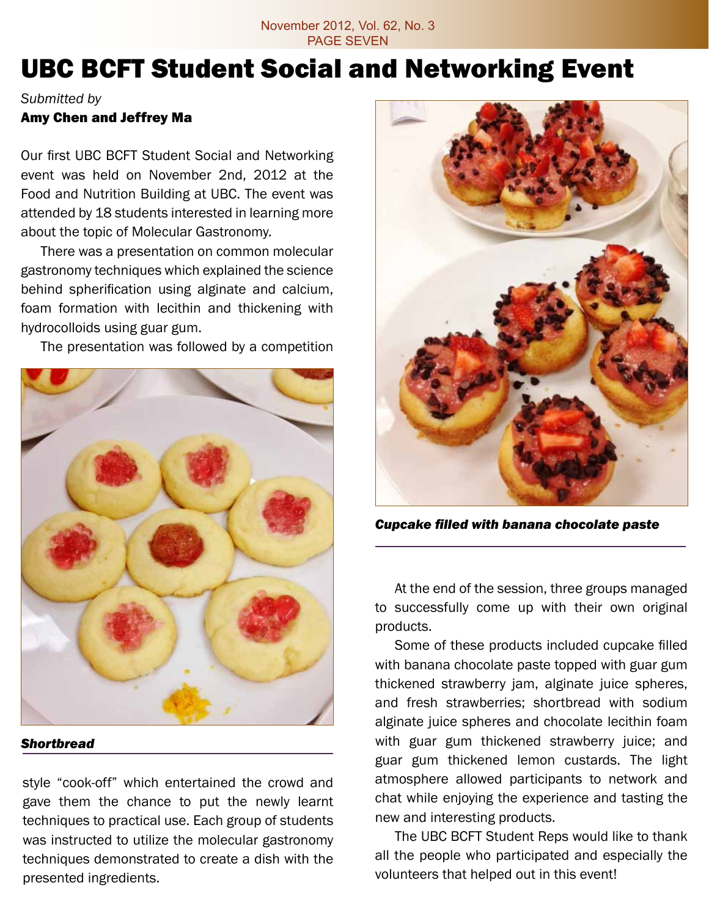### November 2012, Vol. 62, No. 3 PAGE SEVEN

# UBC BCFT Student Social and Networking Event

### *Submitted by*

## Amy Chen and Jeffrey Ma

Our first UBC BCFT Student Social and Networking event was held on November 2nd, 2012 at the Food and Nutrition Building at UBC. The event was attended by 18 students interested in learning more about the topic of Molecular Gastronomy.

There was a presentation on common molecular gastronomy techniques which explained the science behind spherification using alginate and calcium, foam formation with lecithin and thickening with hydrocolloids using guar gum.

The presentation was followed by a competition



### *Shortbread*

style "cook-off" which entertained the crowd and gave them the chance to put the newly learnt techniques to practical use. Each group of students was instructed to utilize the molecular gastronomy techniques demonstrated to create a dish with the presented ingredients.



*Cupcake filled with banana chocolate paste* 

At the end of the session, three groups managed to successfully come up with their own original products.

Some of these products included cupcake filled with banana chocolate paste topped with guar gum thickened strawberry jam, alginate juice spheres, and fresh strawberries; shortbread with sodium alginate juice spheres and chocolate lecithin foam with guar gum thickened strawberry juice; and guar gum thickened lemon custards. The light atmosphere allowed participants to network and chat while enjoying the experience and tasting the new and interesting products.

The UBC BCFT Student Reps would like to thank all the people who participated and especially the volunteers that helped out in this event!